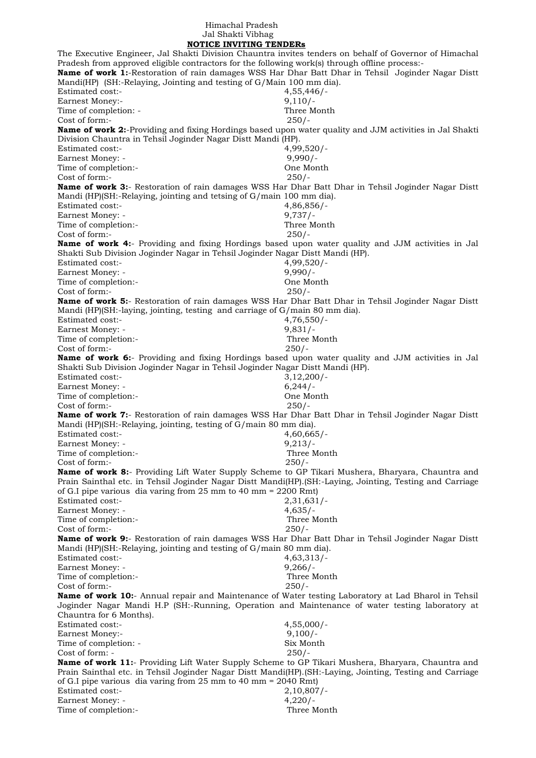## Himachal Pradesh Jal Shakti Vibhag  **NOTICE INVITING TENDERs**

The Executive Engineer, Jal Shakti Division Chauntra invites tenders on behalf of Governor of Himachal Pradesh from approved eligible contractors for the following work(s) through offline process:- **Name of work 1:-Restoration of rain damages WSS Har Dhar Batt Dhar in Tehsil Joginder Nagar Distt** Mandi(HP) (SH:-Relaying, Jointing and testing of G/Main 100 mm dia). Estimated cost:- 4,55,446/- Earnest Money:- 9,110/-Time of completion: - Three Month Cost of form:- 250/- **Name of work 2:**-Providing and fixing Hordings based upon water quality and JJM activities in Jal Shakti Division Chauntra in Tehsil Joginder Nagar Distt Mandi (HP). Estimated cost:- 4,99,520/- Earnest Money: - 9,990/-Time of completion:-<br>
Cost of form:-<br>
250/-Cost of form:-**Name of work 3:**- Restoration of rain damages WSS Har Dhar Batt Dhar in Tehsil Joginder Nagar Distt Mandi (HP)(SH:-Relaying, jointing and tetsing of G/main 100 mm dia). Estimated cost:- 4,86,856/- Earnest Money: - 9,737/-Time of completion:- Three Month Cost of form:- 250/- **Name of work 4:**- Providing and fixing Hordings based upon water quality and JJM activities in Jal Shakti Sub Division Joginder Nagar in Tehsil Joginder Nagar Distt Mandi (HP). Estimated cost:- 4,99,520/- Earnest Money: - 9,990/-Time of completion:- One Month Cost of form:- 250/- **Name of work 5:**- Restoration of rain damages WSS Har Dhar Batt Dhar in Tehsil Joginder Nagar Distt Mandi (HP)(SH:-laying, jointing, testing and carriage of G/main 80 mm dia). Estimated cost:- 4,76,550/- Earnest Money: - 9,831/-Time of completion:- Three Month Cost of form:- 250/- **Name of work 6:**- Providing and fixing Hordings based upon water quality and JJM activities in Jal Shakti Sub Division Joginder Nagar in Tehsil Joginder Nagar Distt Mandi (HP). Estimated cost:- 3,12,200/- Earnest Money: - 6,244/-Time of completion:- One Month Cost of form:- 250/- **Name of work 7:**- Restoration of rain damages WSS Har Dhar Batt Dhar in Tehsil Joginder Nagar Distt Mandi (HP)(SH:-Relaying, jointing, testing of G/main 80 mm dia). Estimated cost:- 4,60,665/- Earnest Money: - 9,213/-Time of completion:- Three Month Cost of form:- 250/- **Name of work 8:**- Providing Lift Water Supply Scheme to GP Tikari Mushera, Bharyara, Chauntra and Prain Sainthal etc. in Tehsil Joginder Nagar Distt Mandi(HP).(SH:-Laying, Jointing, Testing and Carriage of G.I pipe various dia varing from 25 mm to 40 mm = 2200 Rmt) Estimated cost:- 2,31,631/- Earnest Money: - 4,635/-Time of completion:- Three Month Cost of form:- 250/- **Name of work 9:**- Restoration of rain damages WSS Har Dhar Batt Dhar in Tehsil Joginder Nagar Distt Mandi (HP)(SH:-Relaying, jointing and testing of G/main 80 mm dia). Estimated cost:- 4,63,313/- Earnest Money: - 9,266/-Time of completion:- Three Month Cost of form:- 250/- **Name of work 10:**- Annual repair and Maintenance of Water testing Laboratory at Lad Bharol in Tehsil Joginder Nagar Mandi H.P (SH:-Running, Operation and Maintenance of water testing laboratory at Chauntra for 6 Months). Estimated cost:- 4,55,000/- Earnest Money:- 9,100/-Time of completion: - Six Month<br>
Cost of form: - 250/-Cost of form: -**Name of work 11:**- Providing Lift Water Supply Scheme to GP Tikari Mushera, Bharyara, Chauntra and Prain Sainthal etc. in Tehsil Joginder Nagar Distt Mandi(HP).(SH:-Laying, Jointing, Testing and Carriage of G.I pipe various dia varing from 25 mm to 40 mm = 2040 Rmt) Estimated cost:- 2,10,807/- Earnest Money: - 4,220/- Time of completion:- Three Month